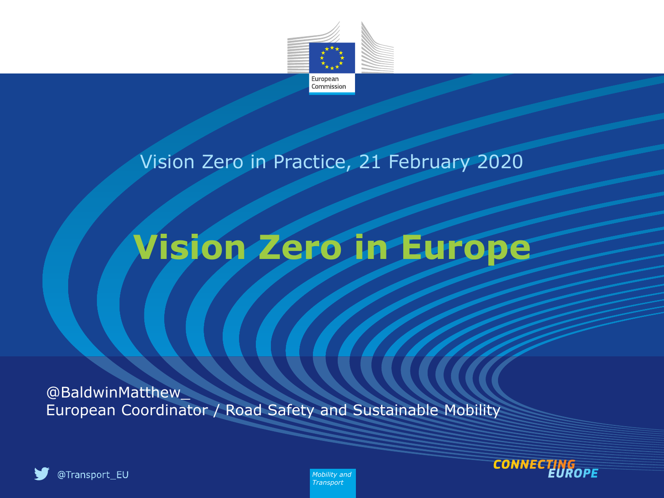

#### Vision Zero in Practice, 21 February 2020

# **Vision Zero in Europe**

@BaldwinMatthew\_ European Coordinator / Road Safety and Sustainable Mobility





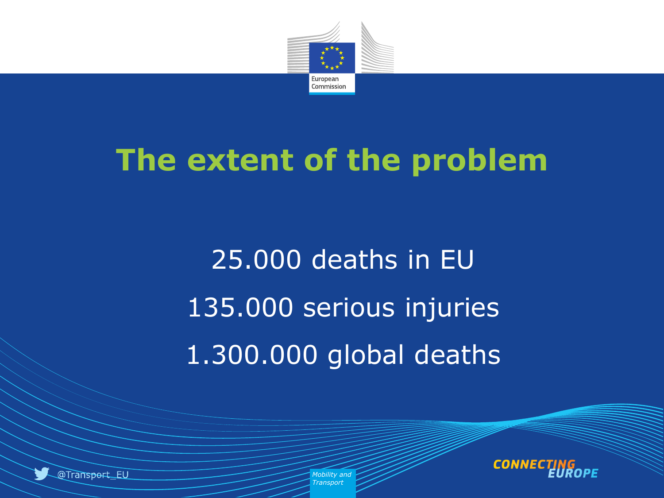

# **The extent of the problem**

25.000 deaths in EU 135.000 serious injuries 1.300.000 global deaths



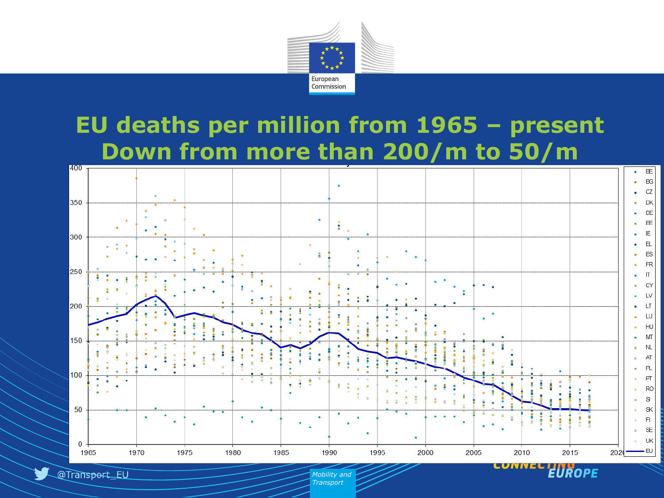

#### **EU deaths per million from 1965 – present Down from more than 200/m to 50/m**



EUROPE

@Transport\_EU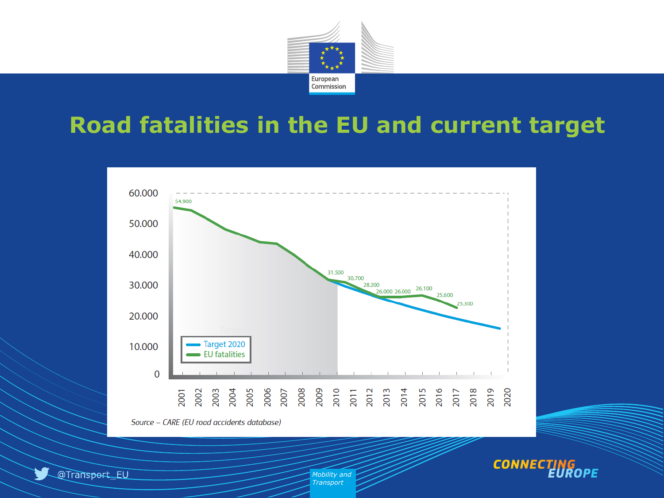

#### **Road fatalities in the EU and current target**



Source - CARE (EU road accidents database)



@Transport\_EU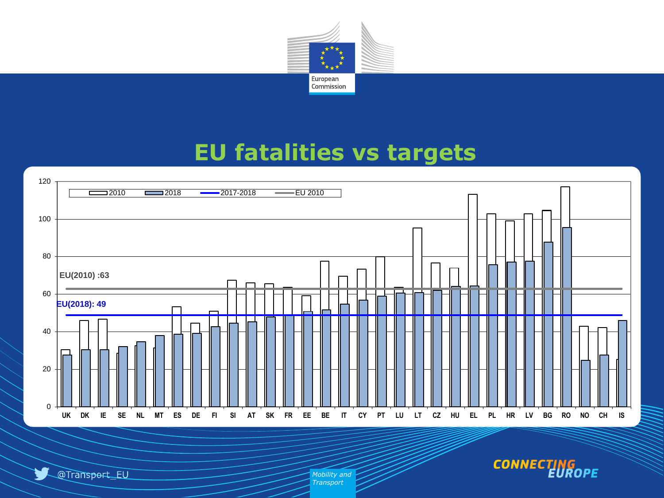

#### **EU fatalities vs targets**



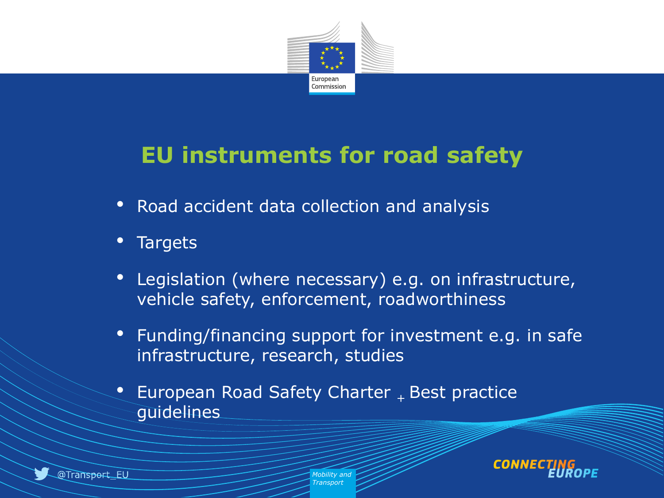

#### **EU instruments for road safety**

- Road accident data collection and analysis
- **Targets**
- Legislation (where necessary) e.g. on infrastructure, vehicle safety, enforcement, roadworthiness
- Funding/financing support for investment e.g. in safe infrastructure, research, studies
- European Road Safety Charter  $_{+}$  Best practice guidelines

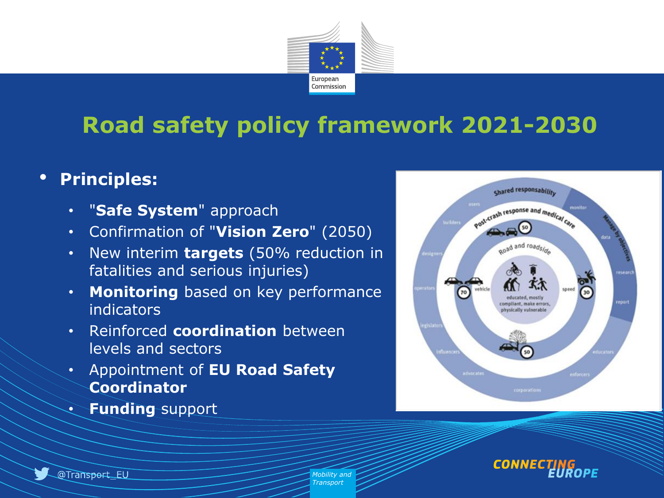

## **Road safety policy framework 2021-2030**

#### • **Principles:**

- "**Safe System**" approach
- Confirmation of "**Vision Zero**" (2050)
- New interim **targets** (50% reduction in fatalities and serious injuries)
- **Monitoring** based on key performance indicators
- Reinforced **coordination** between levels and sectors
- Appointment of **EU Road Safety Coordinator**
- **Funding** support





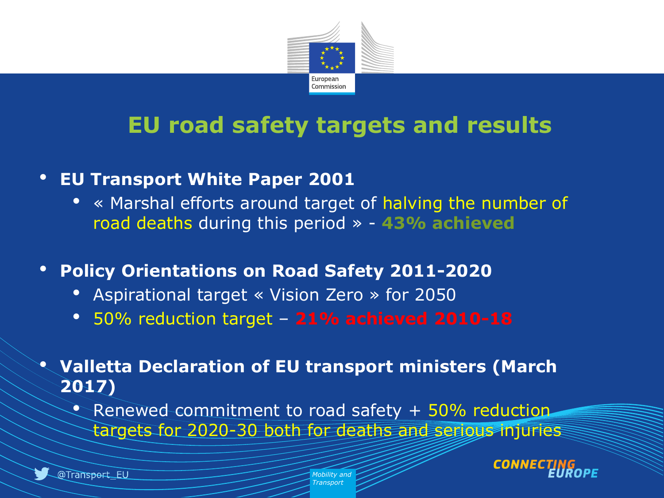

#### **EU road safety targets and results**

- **EU Transport White Paper 2001**
	- « Marshal efforts around target of halving the number of road deaths during this period » - **43% achieved**
- **Policy Orientations on Road Safety 2011-2020**
	- Aspirational target « Vision Zero » for 2050
	- 50% reduction target **21% achieved 2010-18**
- **Valletta Declaration of EU transport ministers (March 2017)**
	- Renewed commitment to road safety  $+50\%$  reduction. targets for 2020-30 both for deaths and serious injuries

CONN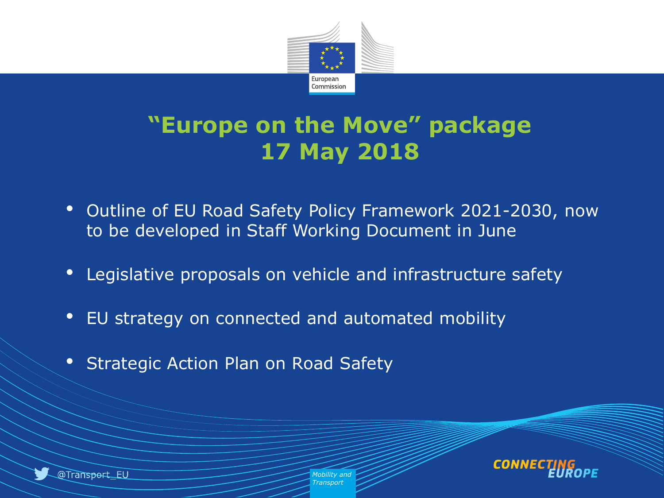

#### **"Europe on the Move" package 17 May 2018**

- Outline of EU Road Safety Policy Framework 2021-2030, now to be developed in Staff Working Document in June
- Legislative proposals on vehicle and infrastructure safety
- EU strategy on connected and automated mobility
- Strategic Action Plan on Road Safety

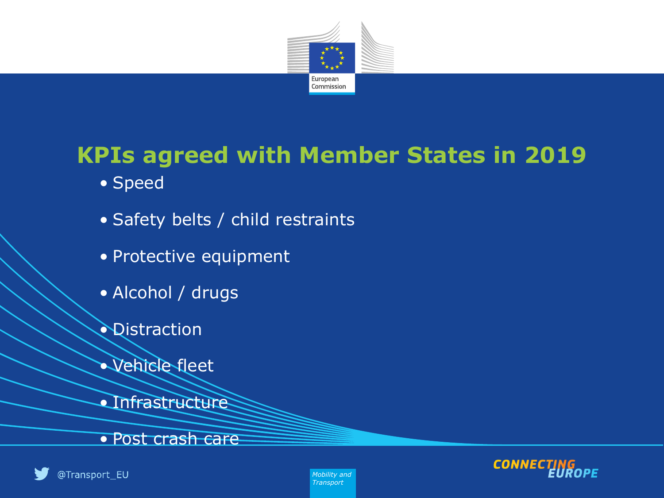

### **KPIs agreed with Member States in 2019**

- Speed
- Safety belts / child restraints
- Protective equipment
- Alcohol / drugs
- **Qistraction**
- Vehicle fleet
- Infrastructure
- Post crash care





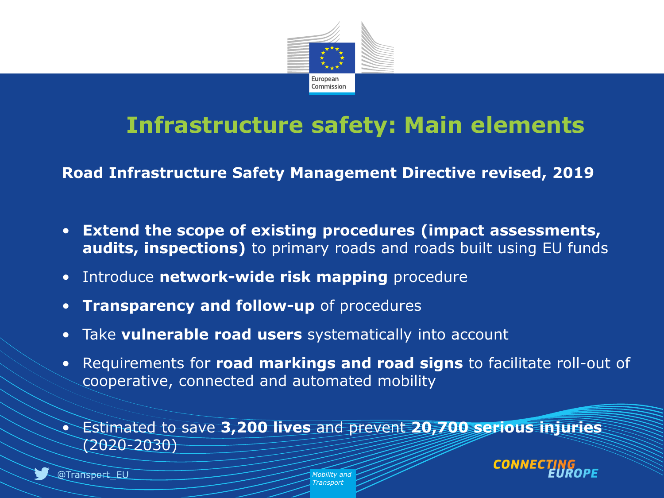

#### **Infrastructure safety: Main elements**

**Road Infrastructure Safety Management Directive revised, 2019** 

- **Extend the scope of existing procedures (impact assessments, audits, inspections)** to primary roads and roads built using EU funds
- Introduce **network-wide risk mapping** procedure
- **Transparency and follow-up** of procedures
- Take **vulnerable road users** systematically into account
- Requirements for **road markings and road signs** to facilitate roll-out of cooperative, connected and automated mobility

• Estimated to save **3,200 lives** and prevent **20,700 serious injuries**   $(2020 - 2030)$ 

> *Mobility and Transport*



CONI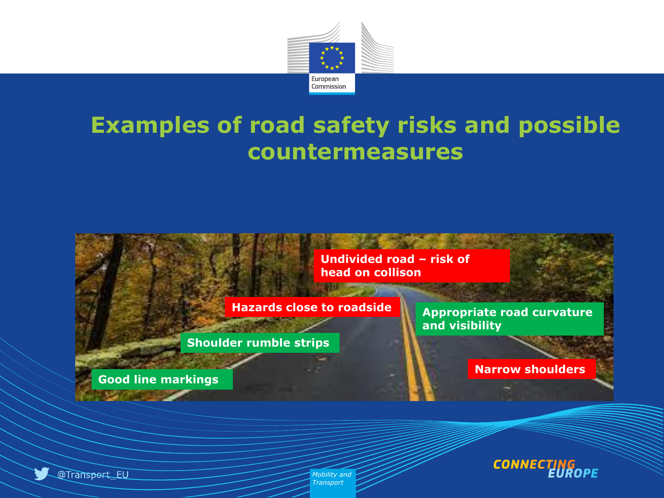

#### **Examples of road safety risks and possible countermeasures**



**Shoulder rumble strips**

**Good line markings**

**Appropriate road curvature and visibility**

**Narrow shoulders**



@Transport\_EU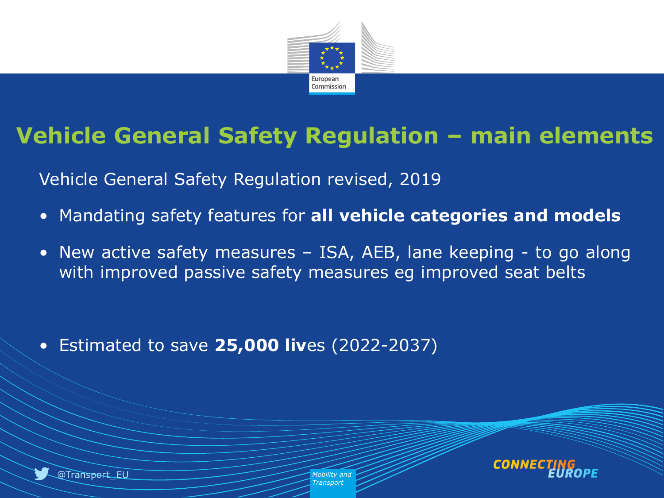

### **Vehicle General Safety Regulation – main elements**

Vehicle General Safety Regulation revised, 2019

- Mandating safety features for **all vehicle categories and models**
- New active safety measures ISA, AEB, lane keeping to go along with improved passive safety measures eg improved seat belts

• Estimated to save **25,000 liv**es (2022-2037)



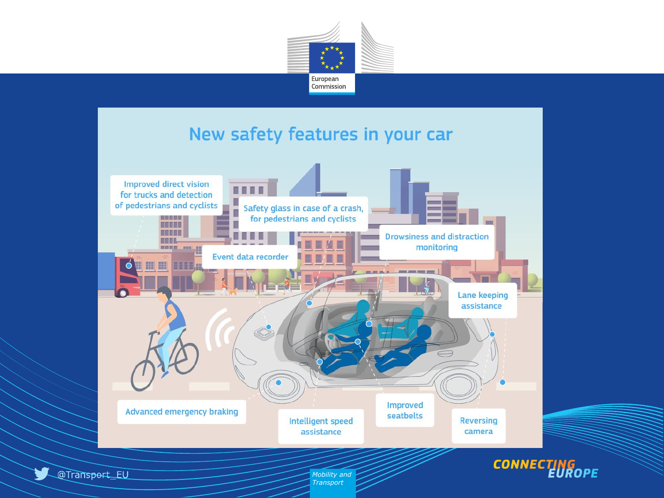

#### New safety features in your car

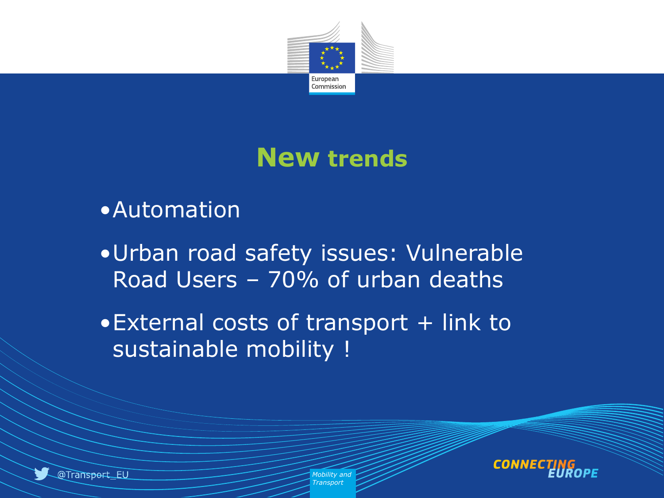

## **New trends**

#### •Automation

- •Urban road safety issues: Vulnerable Road Users – 70% of urban deaths
- External costs of transport + link to sustainable mobility !